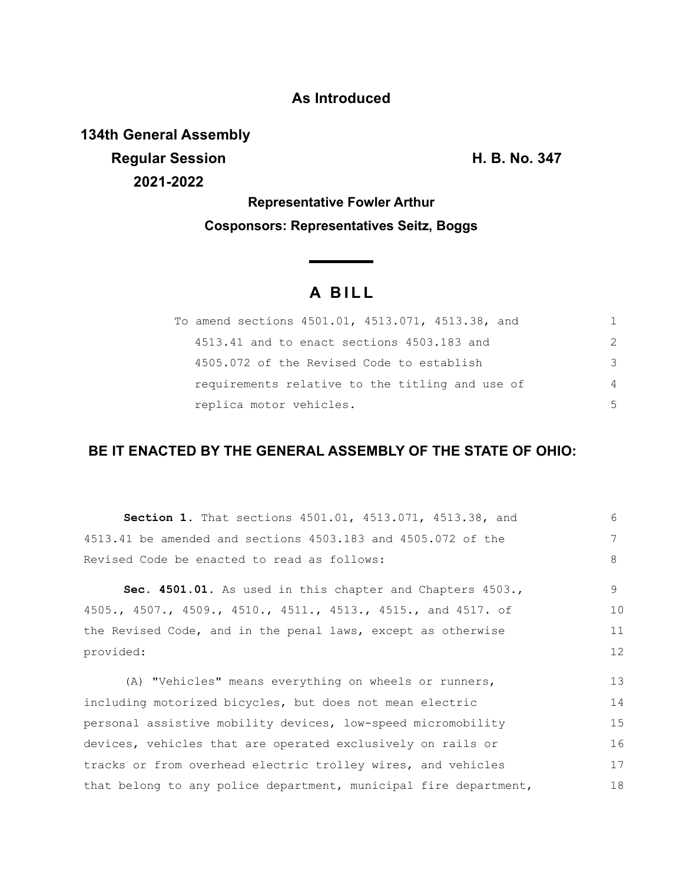### **As Introduced**

**134th General Assembly Regular Session H. B. No. 347 2021-2022**

## **Representative Fowler Arthur Cosponsors: Representatives Seitz, Boggs**

# **A B I L L**

<u> The Common State State Sta</u>te

| To amend sections 4501.01, 4513.071, 4513.38, and |               |
|---------------------------------------------------|---------------|
| 4513.41 and to enact sections 4503.183 and        | $\mathcal{P}$ |
| 4505.072 of the Revised Code to establish         | 3             |
| requirements relative to the titling and use of   | 4             |
| replica motor vehicles.                           | .5            |

### **BE IT ENACTED BY THE GENERAL ASSEMBLY OF THE STATE OF OHIO:**

| Section 1. That sections 4501.01, 4513.071, 4513.38, and         | 6  |  |  |  |  |  |  |  |
|------------------------------------------------------------------|----|--|--|--|--|--|--|--|
| 4513.41 be amended and sections 4503.183 and 4505.072 of the     |    |  |  |  |  |  |  |  |
| Revised Code be enacted to read as follows:                      | 8  |  |  |  |  |  |  |  |
| Sec. 4501.01. As used in this chapter and Chapters 4503.,        | 9  |  |  |  |  |  |  |  |
| 4505., 4507., 4509., 4510., 4511., 4513., 4515., and 4517. of    | 10 |  |  |  |  |  |  |  |
| the Revised Code, and in the penal laws, except as otherwise     | 11 |  |  |  |  |  |  |  |
| provided:                                                        | 12 |  |  |  |  |  |  |  |
| (A) "Vehicles" means everything on wheels or runners,            | 13 |  |  |  |  |  |  |  |
| including motorized bicycles, but does not mean electric         | 14 |  |  |  |  |  |  |  |
| personal assistive mobility devices, low-speed micromobility     | 15 |  |  |  |  |  |  |  |
| devices, vehicles that are operated exclusively on rails or      | 16 |  |  |  |  |  |  |  |
| tracks or from overhead electric trolley wires, and vehicles     | 17 |  |  |  |  |  |  |  |
| that belong to any police department, municipal fire department, | 18 |  |  |  |  |  |  |  |
|                                                                  |    |  |  |  |  |  |  |  |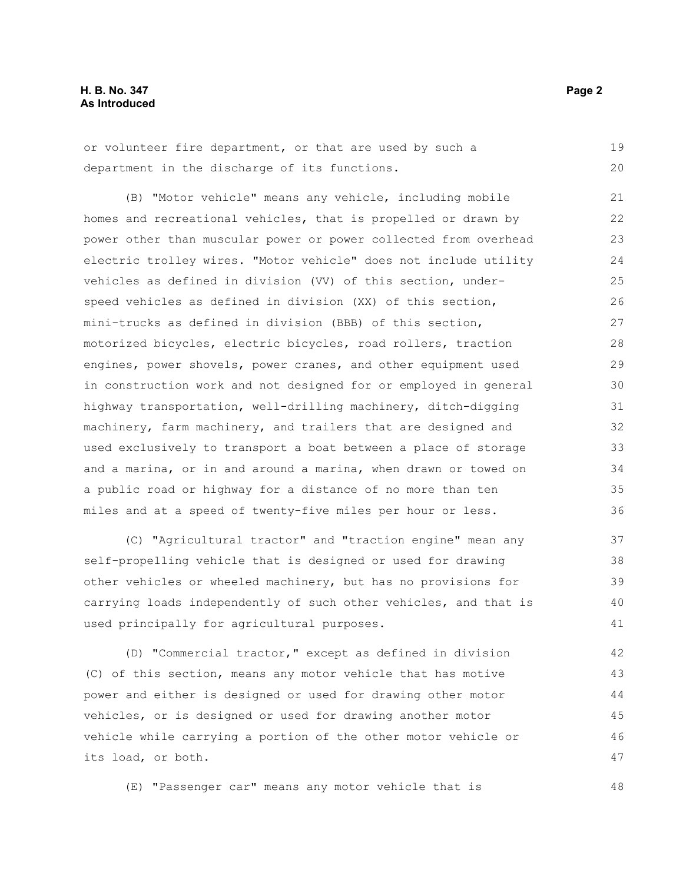or volunteer fire department, or that are used by such a department in the discharge of its functions. 19 20

(B) "Motor vehicle" means any vehicle, including mobile homes and recreational vehicles, that is propelled or drawn by power other than muscular power or power collected from overhead electric trolley wires. "Motor vehicle" does not include utility vehicles as defined in division (VV) of this section, underspeed vehicles as defined in division (XX) of this section, mini-trucks as defined in division (BBB) of this section, motorized bicycles, electric bicycles, road rollers, traction engines, power shovels, power cranes, and other equipment used in construction work and not designed for or employed in general highway transportation, well-drilling machinery, ditch-digging machinery, farm machinery, and trailers that are designed and used exclusively to transport a boat between a place of storage and a marina, or in and around a marina, when drawn or towed on a public road or highway for a distance of no more than ten miles and at a speed of twenty-five miles per hour or less. 21 22 23 24 25 26 27 28 29 30 31 32 33 34 35 36

(C) "Agricultural tractor" and "traction engine" mean any self-propelling vehicle that is designed or used for drawing other vehicles or wheeled machinery, but has no provisions for carrying loads independently of such other vehicles, and that is used principally for agricultural purposes.

(D) "Commercial tractor," except as defined in division (C) of this section, means any motor vehicle that has motive power and either is designed or used for drawing other motor vehicles, or is designed or used for drawing another motor vehicle while carrying a portion of the other motor vehicle or its load, or both. 42 43 44 45 46 47

(E) "Passenger car" means any motor vehicle that is

48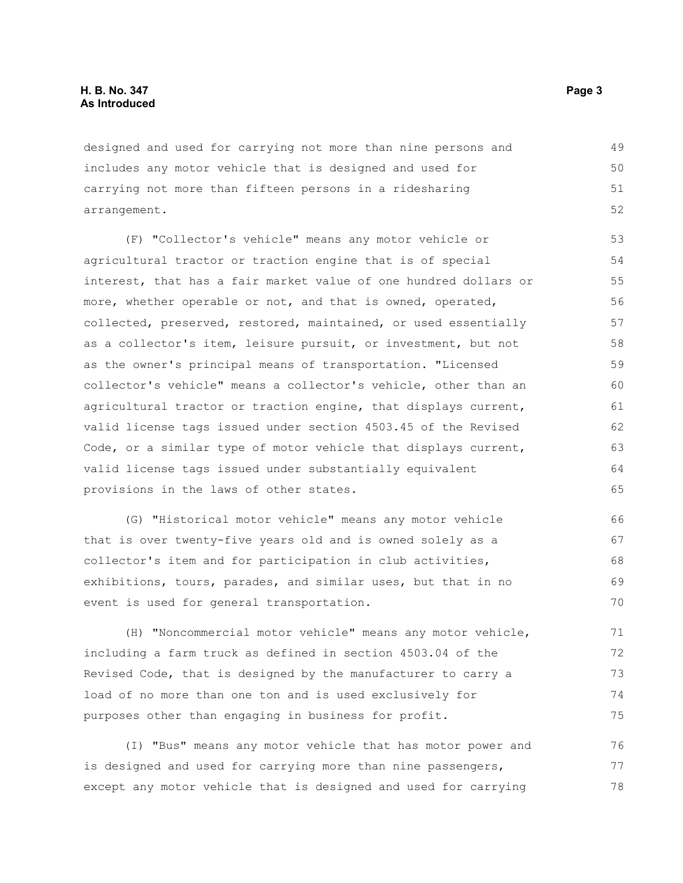designed and used for carrying not more than nine persons and includes any motor vehicle that is designed and used for carrying not more than fifteen persons in a ridesharing arrangement.

(F) "Collector's vehicle" means any motor vehicle or agricultural tractor or traction engine that is of special interest, that has a fair market value of one hundred dollars or more, whether operable or not, and that is owned, operated, collected, preserved, restored, maintained, or used essentially as a collector's item, leisure pursuit, or investment, but not as the owner's principal means of transportation. "Licensed collector's vehicle" means a collector's vehicle, other than an agricultural tractor or traction engine, that displays current, valid license tags issued under section 4503.45 of the Revised Code, or a similar type of motor vehicle that displays current, valid license tags issued under substantially equivalent provisions in the laws of other states. 53 54 55 56 57 58 59 60 61 62 63 64 65

(G) "Historical motor vehicle" means any motor vehicle that is over twenty-five years old and is owned solely as a collector's item and for participation in club activities, exhibitions, tours, parades, and similar uses, but that in no event is used for general transportation. 66 67 68 69 70

(H) "Noncommercial motor vehicle" means any motor vehicle, including a farm truck as defined in section 4503.04 of the Revised Code, that is designed by the manufacturer to carry a load of no more than one ton and is used exclusively for purposes other than engaging in business for profit. 71 72 73 74 75

(I) "Bus" means any motor vehicle that has motor power and is designed and used for carrying more than nine passengers, except any motor vehicle that is designed and used for carrying 76 77 78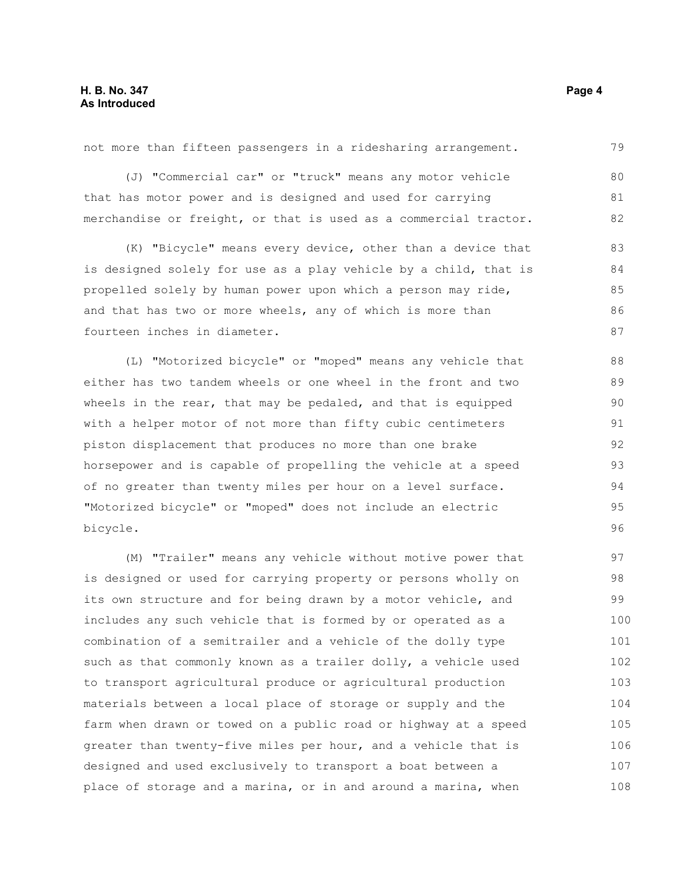| (J) "Commercial car" or "truck" means any motor vehicle          | 80  |  |  |  |  |  |
|------------------------------------------------------------------|-----|--|--|--|--|--|
| that has motor power and is designed and used for carrying       | 81  |  |  |  |  |  |
| merchandise or freight, or that is used as a commercial tractor. | 82  |  |  |  |  |  |
| (K) "Bicycle" means every device, other than a device that       | 83  |  |  |  |  |  |
| is designed solely for use as a play vehicle by a child, that is | 84  |  |  |  |  |  |
| propelled solely by human power upon which a person may ride,    | 85  |  |  |  |  |  |
| and that has two or more wheels, any of which is more than       |     |  |  |  |  |  |
| fourteen inches in diameter.                                     | 87  |  |  |  |  |  |
| (L) "Motorized bicycle" or "moped" means any vehicle that        | 88  |  |  |  |  |  |
| either has two tandem wheels or one wheel in the front and two   | 89  |  |  |  |  |  |
| wheels in the rear, that may be pedaled, and that is equipped    | 90  |  |  |  |  |  |
| with a helper motor of not more than fifty cubic centimeters     | 91  |  |  |  |  |  |
| piston displacement that produces no more than one brake         | 92  |  |  |  |  |  |
| horsepower and is capable of propelling the vehicle at a speed   | 93  |  |  |  |  |  |
| of no greater than twenty miles per hour on a level surface.     |     |  |  |  |  |  |
| "Motorized bicycle" or "moped" does not include an electric      | 95  |  |  |  |  |  |
| bicycle.                                                         | 96  |  |  |  |  |  |
| (M) "Trailer" means any vehicle without motive power that        | 97  |  |  |  |  |  |
| is designed or used for carrying property or persons wholly on   | 98  |  |  |  |  |  |
| its own structure and for being drawn by a motor vehicle, and    | 99  |  |  |  |  |  |
| includes any such vehicle that is formed by or operated as a     | 100 |  |  |  |  |  |
| combination of a semitrailer and a vehicle of the dolly type     | 101 |  |  |  |  |  |
| such as that commonly known as a trailer dolly, a vehicle used   | 102 |  |  |  |  |  |
| to transport agricultural produce or agricultural production     | 103 |  |  |  |  |  |
| materials between a local place of storage or supply and the     | 104 |  |  |  |  |  |
| farm when drawn or towed on a public road or highway at a speed  | 105 |  |  |  |  |  |
| greater than twenty-five miles per hour, and a vehicle that is   | 106 |  |  |  |  |  |
| designed and used exclusively to transport a boat between a      | 107 |  |  |  |  |  |

place of storage and a marina, or in and around a marina, when

not more than fifteen passengers in a ridesharing arrangement.

79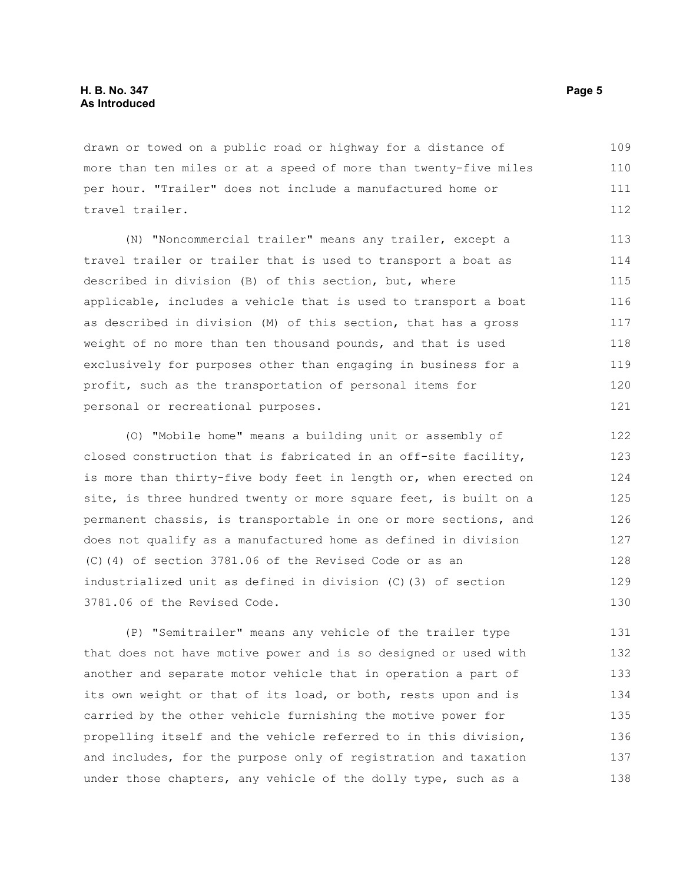drawn or towed on a public road or highway for a distance of more than ten miles or at a speed of more than twenty-five miles per hour. "Trailer" does not include a manufactured home or travel trailer. 109 110 111 112

(N) "Noncommercial trailer" means any trailer, except a travel trailer or trailer that is used to transport a boat as described in division (B) of this section, but, where applicable, includes a vehicle that is used to transport a boat as described in division (M) of this section, that has a gross weight of no more than ten thousand pounds, and that is used exclusively for purposes other than engaging in business for a profit, such as the transportation of personal items for personal or recreational purposes. 113 114 115 116 117 118 119 120 121

(O) "Mobile home" means a building unit or assembly of closed construction that is fabricated in an off-site facility, is more than thirty-five body feet in length or, when erected on site, is three hundred twenty or more square feet, is built on a permanent chassis, is transportable in one or more sections, and does not qualify as a manufactured home as defined in division (C)(4) of section 3781.06 of the Revised Code or as an industrialized unit as defined in division (C)(3) of section 3781.06 of the Revised Code. 122 123 124 125 126 127 128 129 130

(P) "Semitrailer" means any vehicle of the trailer type that does not have motive power and is so designed or used with another and separate motor vehicle that in operation a part of its own weight or that of its load, or both, rests upon and is carried by the other vehicle furnishing the motive power for propelling itself and the vehicle referred to in this division, and includes, for the purpose only of registration and taxation under those chapters, any vehicle of the dolly type, such as a 131 132 133 134 135 136 137 138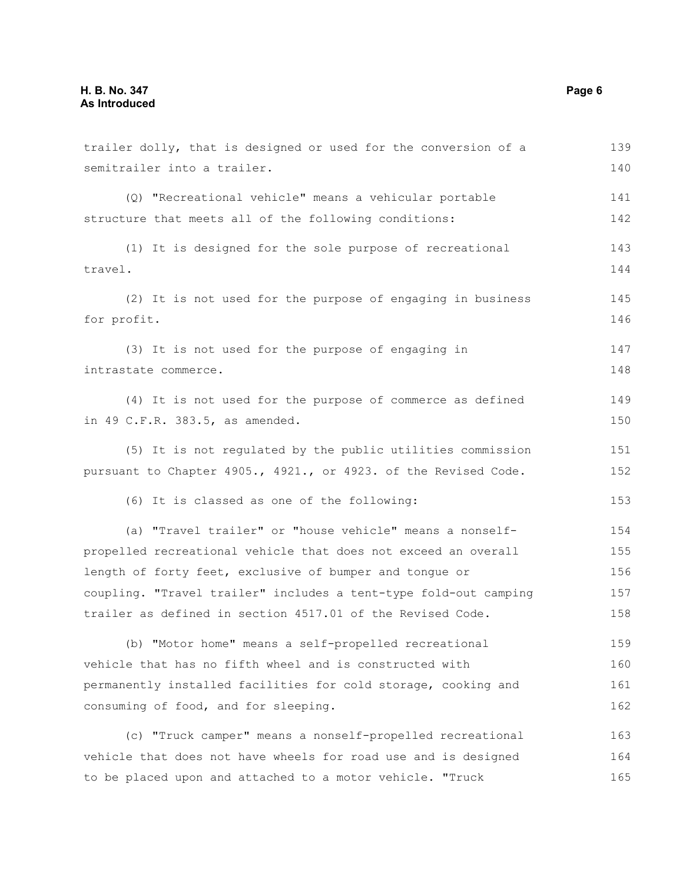| trailer dolly, that is designed or used for the conversion of a  | 139 |
|------------------------------------------------------------------|-----|
| semitrailer into a trailer.                                      | 140 |
| (Q) "Recreational vehicle" means a vehicular portable            | 141 |
| structure that meets all of the following conditions:            | 142 |
| (1) It is designed for the sole purpose of recreational          | 143 |
| travel.                                                          | 144 |
| (2) It is not used for the purpose of engaging in business       | 145 |
| for profit.                                                      | 146 |
| (3) It is not used for the purpose of engaging in                | 147 |
| intrastate commerce.                                             | 148 |
| (4) It is not used for the purpose of commerce as defined        | 149 |
| in 49 C.F.R. 383.5, as amended.                                  | 150 |
| (5) It is not regulated by the public utilities commission       | 151 |
| pursuant to Chapter 4905., 4921., or 4923. of the Revised Code.  | 152 |
| (6) It is classed as one of the following:                       | 153 |
| (a) "Travel trailer" or "house vehicle" means a nonself-         | 154 |
| propelled recreational vehicle that does not exceed an overall   | 155 |
| length of forty feet, exclusive of bumper and tongue or          | 156 |
| coupling. "Travel trailer" includes a tent-type fold-out camping | 157 |
| trailer as defined in section 4517.01 of the Revised Code.       | 158 |
| (b) "Motor home" means a self-propelled recreational             | 159 |
| vehicle that has no fifth wheel and is constructed with          | 160 |
| permanently installed facilities for cold storage, cooking and   | 161 |
| consuming of food, and for sleeping.                             | 162 |
| (c) "Truck camper" means a nonself-propelled recreational        | 163 |
| vehicle that does not have wheels for road use and is designed   | 164 |
| to be placed upon and attached to a motor vehicle. "Truck        | 165 |
|                                                                  |     |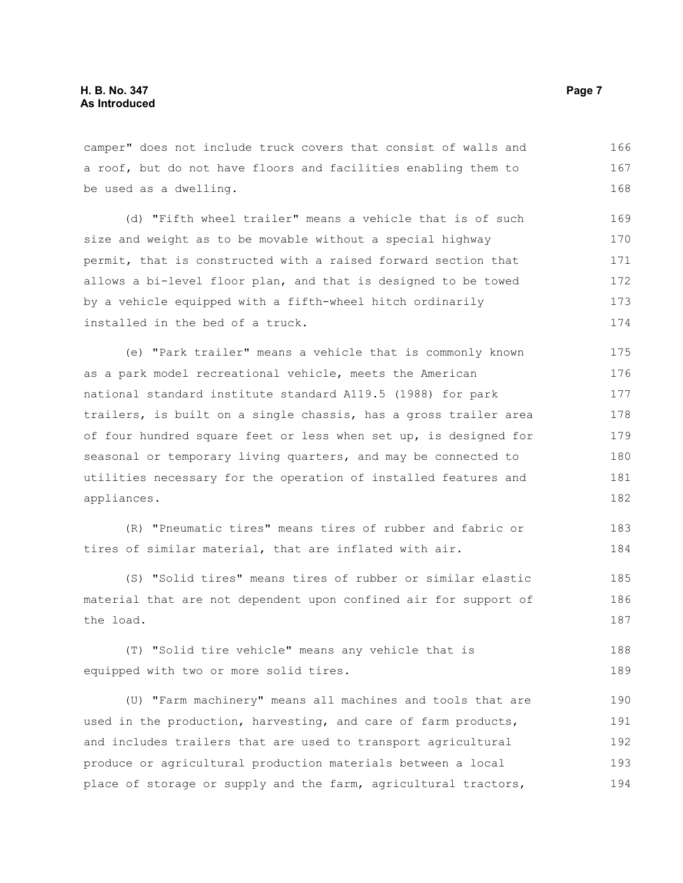camper" does not include truck covers that consist of walls and a roof, but do not have floors and facilities enabling them to be used as a dwelling. 166 167 168

(d) "Fifth wheel trailer" means a vehicle that is of such size and weight as to be movable without a special highway permit, that is constructed with a raised forward section that allows a bi-level floor plan, and that is designed to be towed by a vehicle equipped with a fifth-wheel hitch ordinarily installed in the bed of a truck. 169 170 171 172 173 174

(e) "Park trailer" means a vehicle that is commonly known as a park model recreational vehicle, meets the American national standard institute standard A119.5 (1988) for park trailers, is built on a single chassis, has a gross trailer area of four hundred square feet or less when set up, is designed for seasonal or temporary living quarters, and may be connected to utilities necessary for the operation of installed features and appliances. 175 176 177 178 179 180 181 182

(R) "Pneumatic tires" means tires of rubber and fabric or tires of similar material, that are inflated with air. 183 184

(S) "Solid tires" means tires of rubber or similar elastic material that are not dependent upon confined air for support of the load. 185 186 187

(T) "Solid tire vehicle" means any vehicle that is equipped with two or more solid tires. 188 189

(U) "Farm machinery" means all machines and tools that are used in the production, harvesting, and care of farm products, and includes trailers that are used to transport agricultural produce or agricultural production materials between a local place of storage or supply and the farm, agricultural tractors, 190 191 192 193 194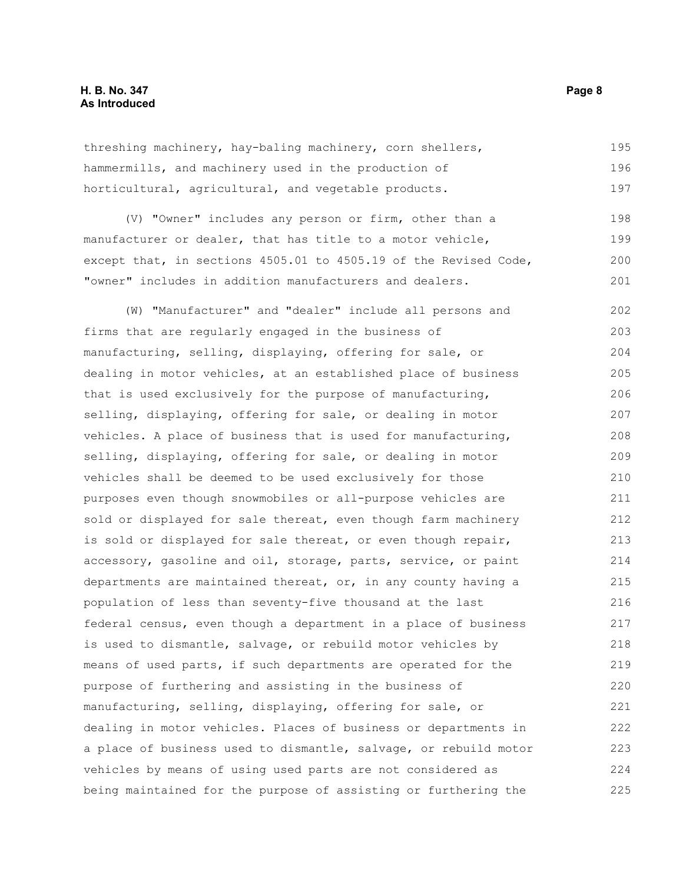### **H. B. No. 347 Page 8 As Introduced**

threshing machinery, hay-baling machinery, corn shellers, hammermills, and machinery used in the production of horticultural, agricultural, and vegetable products. 195 196 197

(V) "Owner" includes any person or firm, other than a manufacturer or dealer, that has title to a motor vehicle, except that, in sections 4505.01 to 4505.19 of the Revised Code, "owner" includes in addition manufacturers and dealers. 198 199 200 201

(W) "Manufacturer" and "dealer" include all persons and firms that are regularly engaged in the business of manufacturing, selling, displaying, offering for sale, or dealing in motor vehicles, at an established place of business that is used exclusively for the purpose of manufacturing, selling, displaying, offering for sale, or dealing in motor vehicles. A place of business that is used for manufacturing, selling, displaying, offering for sale, or dealing in motor vehicles shall be deemed to be used exclusively for those purposes even though snowmobiles or all-purpose vehicles are sold or displayed for sale thereat, even though farm machinery is sold or displayed for sale thereat, or even though repair, accessory, gasoline and oil, storage, parts, service, or paint departments are maintained thereat, or, in any county having a population of less than seventy-five thousand at the last federal census, even though a department in a place of business is used to dismantle, salvage, or rebuild motor vehicles by means of used parts, if such departments are operated for the purpose of furthering and assisting in the business of manufacturing, selling, displaying, offering for sale, or dealing in motor vehicles. Places of business or departments in a place of business used to dismantle, salvage, or rebuild motor vehicles by means of using used parts are not considered as being maintained for the purpose of assisting or furthering the 202 203 204 205 206 207 208 209 210 211 212 213 214 215 216 217 218 219 220 221 222 223 224 225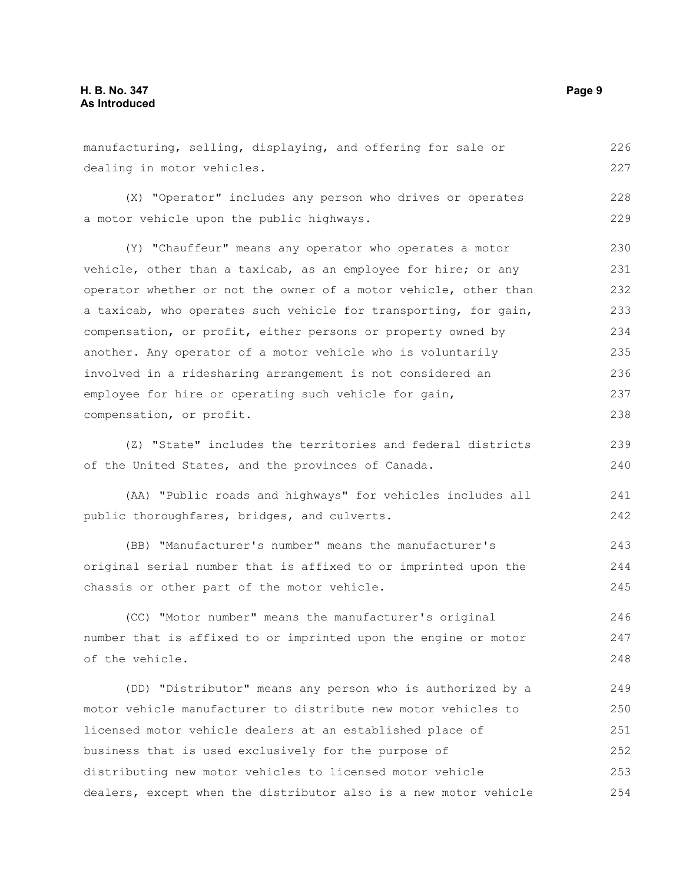manufacturing, selling, displaying, and offering for sale or dealing in motor vehicles. (X) "Operator" includes any person who drives or operates a motor vehicle upon the public highways. (Y) "Chauffeur" means any operator who operates a motor vehicle, other than a taxicab, as an employee for hire; or any operator whether or not the owner of a motor vehicle, other than a taxicab, who operates such vehicle for transporting, for gain, compensation, or profit, either persons or property owned by another. Any operator of a motor vehicle who is voluntarily involved in a ridesharing arrangement is not considered an employee for hire or operating such vehicle for gain, compensation, or profit. (Z) "State" includes the territories and federal districts of the United States, and the provinces of Canada. (AA) "Public roads and highways" for vehicles includes all public thoroughfares, bridges, and culverts. (BB) "Manufacturer's number" means the manufacturer's original serial number that is affixed to or imprinted upon the chassis or other part of the motor vehicle. (CC) "Motor number" means the manufacturer's original number that is affixed to or imprinted upon the engine or motor of the vehicle. (DD) "Distributor" means any person who is authorized by a motor vehicle manufacturer to distribute new motor vehicles to licensed motor vehicle dealers at an established place of business that is used exclusively for the purpose of distributing new motor vehicles to licensed motor vehicle dealers, except when the distributor also is a new motor vehicle 226 227 228 229 230 231 232 233 234 235 236 237 238 239 240 241 242 243 244 245 246 247 248 249 250 251 252 253 254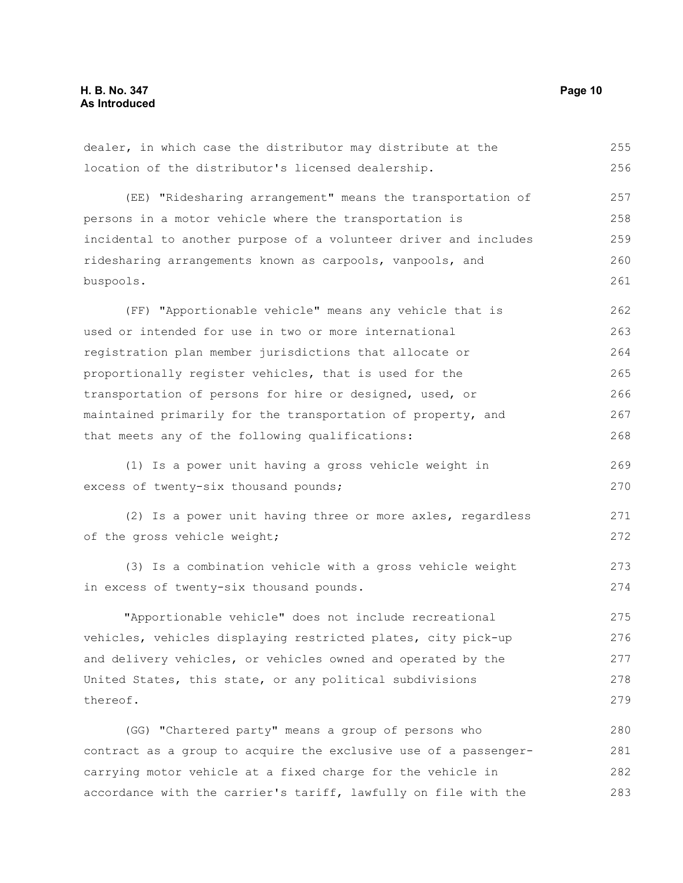dealer, in which case the distributor may distribute at the location of the distributor's licensed dealership. (EE) "Ridesharing arrangement" means the transportation of persons in a motor vehicle where the transportation is incidental to another purpose of a volunteer driver and includes ridesharing arrangements known as carpools, vanpools, and buspools. (FF) "Apportionable vehicle" means any vehicle that is used or intended for use in two or more international registration plan member jurisdictions that allocate or proportionally register vehicles, that is used for the transportation of persons for hire or designed, used, or maintained primarily for the transportation of property, and that meets any of the following qualifications: (1) Is a power unit having a gross vehicle weight in excess of twenty-six thousand pounds; (2) Is a power unit having three or more axles, regardless of the gross vehicle weight; (3) Is a combination vehicle with a gross vehicle weight in excess of twenty-six thousand pounds. "Apportionable vehicle" does not include recreational vehicles, vehicles displaying restricted plates, city pick-up and delivery vehicles, or vehicles owned and operated by the United States, this state, or any political subdivisions thereof. (GG) "Chartered party" means a group of persons who contract as a group to acquire the exclusive use of a passengercarrying motor vehicle at a fixed charge for the vehicle in 255 256 257 258 259 260 261 262 263 264 265 266 267 268 269 270 271 272 273 274 275 276 277 278 279 280 281 282

accordance with the carrier's tariff, lawfully on file with the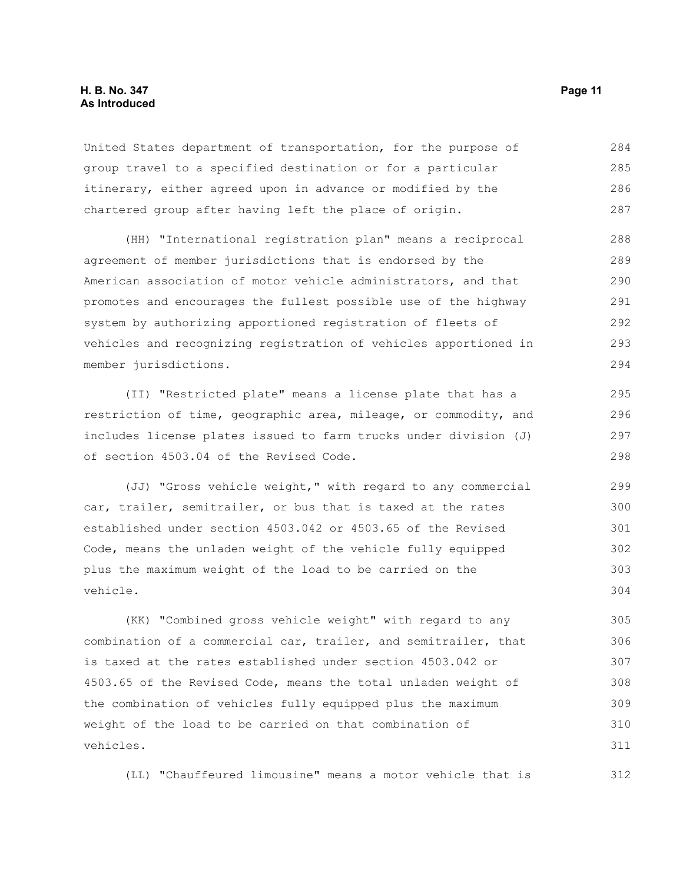### **H. B. No. 347 Page 11 As Introduced**

United States department of transportation, for the purpose of group travel to a specified destination or for a particular itinerary, either agreed upon in advance or modified by the chartered group after having left the place of origin. 284 285 286 287

(HH) "International registration plan" means a reciprocal agreement of member jurisdictions that is endorsed by the American association of motor vehicle administrators, and that promotes and encourages the fullest possible use of the highway system by authorizing apportioned registration of fleets of vehicles and recognizing registration of vehicles apportioned in member jurisdictions. 288 289 290 291 292 293 294

(II) "Restricted plate" means a license plate that has a restriction of time, geographic area, mileage, or commodity, and includes license plates issued to farm trucks under division (J) of section 4503.04 of the Revised Code.

(JJ) "Gross vehicle weight," with regard to any commercial car, trailer, semitrailer, or bus that is taxed at the rates established under section 4503.042 or 4503.65 of the Revised Code, means the unladen weight of the vehicle fully equipped plus the maximum weight of the load to be carried on the vehicle. 299 300 301 302 303 304

(KK) "Combined gross vehicle weight" with regard to any combination of a commercial car, trailer, and semitrailer, that is taxed at the rates established under section 4503.042 or 4503.65 of the Revised Code, means the total unladen weight of the combination of vehicles fully equipped plus the maximum weight of the load to be carried on that combination of vehicles. 305 306 307 308 309 310 311

(LL) "Chauffeured limousine" means a motor vehicle that is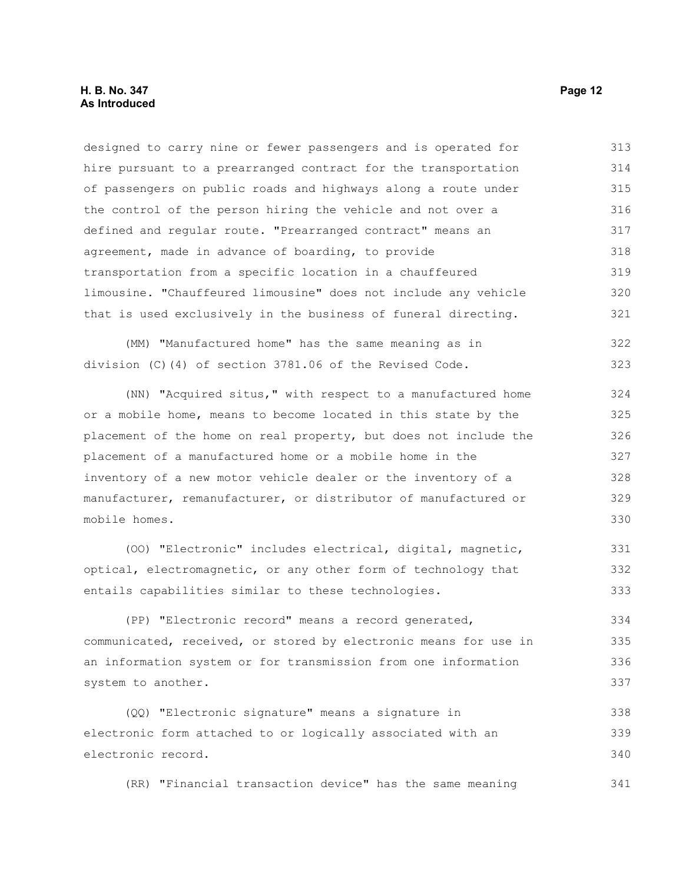designed to carry nine or fewer passengers and is operated for hire pursuant to a prearranged contract for the transportation of passengers on public roads and highways along a route under the control of the person hiring the vehicle and not over a defined and regular route. "Prearranged contract" means an agreement, made in advance of boarding, to provide transportation from a specific location in a chauffeured limousine. "Chauffeured limousine" does not include any vehicle that is used exclusively in the business of funeral directing. 313 314 315 316 317 318 319 320 321

(MM) "Manufactured home" has the same meaning as in division (C)(4) of section 3781.06 of the Revised Code. 322 323

(NN) "Acquired situs," with respect to a manufactured home or a mobile home, means to become located in this state by the placement of the home on real property, but does not include the placement of a manufactured home or a mobile home in the inventory of a new motor vehicle dealer or the inventory of a manufacturer, remanufacturer, or distributor of manufactured or mobile homes. 324 325 326 327 328 329 330

(OO) "Electronic" includes electrical, digital, magnetic, optical, electromagnetic, or any other form of technology that entails capabilities similar to these technologies.

(PP) "Electronic record" means a record generated, communicated, received, or stored by electronic means for use in an information system or for transmission from one information system to another. 334 335 336 337

(QQ) "Electronic signature" means a signature in electronic form attached to or logically associated with an electronic record. 338 339 340

(RR) "Financial transaction device" has the same meaning 341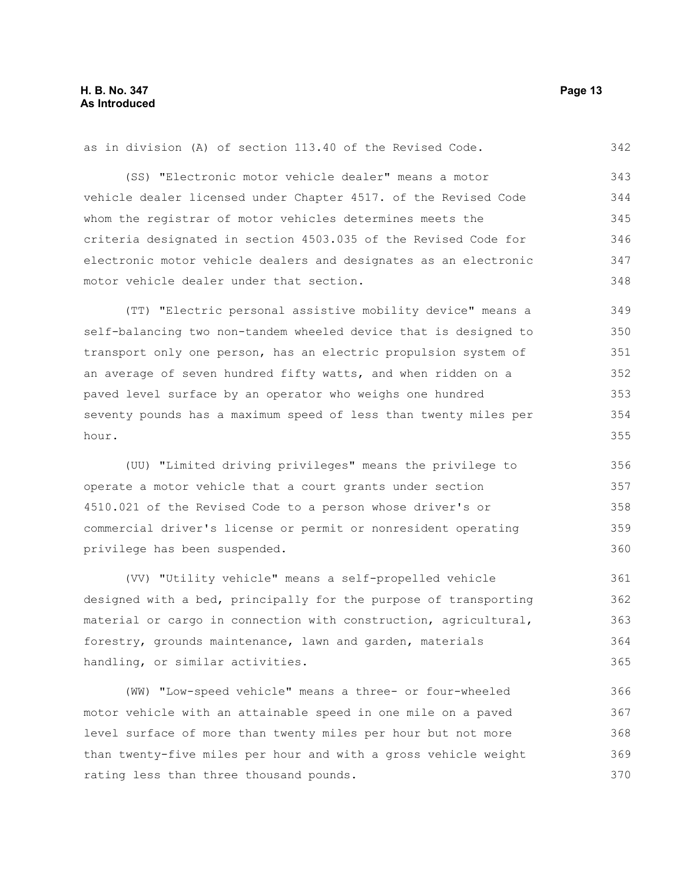342

(SS) "Electronic motor vehicle dealer" means a motor vehicle dealer licensed under Chapter 4517. of the Revised Code whom the registrar of motor vehicles determines meets the criteria designated in section 4503.035 of the Revised Code for electronic motor vehicle dealers and designates as an electronic motor vehicle dealer under that section. 343 344 345 346 347 348

as in division (A) of section 113.40 of the Revised Code.

(TT) "Electric personal assistive mobility device" means a self-balancing two non-tandem wheeled device that is designed to transport only one person, has an electric propulsion system of an average of seven hundred fifty watts, and when ridden on a paved level surface by an operator who weighs one hundred seventy pounds has a maximum speed of less than twenty miles per hour. 349 350 351 352 353 354 355

(UU) "Limited driving privileges" means the privilege to operate a motor vehicle that a court grants under section 4510.021 of the Revised Code to a person whose driver's or commercial driver's license or permit or nonresident operating privilege has been suspended. 356 357 358 359 360

(VV) "Utility vehicle" means a self-propelled vehicle designed with a bed, principally for the purpose of transporting material or cargo in connection with construction, agricultural, forestry, grounds maintenance, lawn and garden, materials handling, or similar activities. 361 362 363 364 365

(WW) "Low-speed vehicle" means a three- or four-wheeled motor vehicle with an attainable speed in one mile on a paved level surface of more than twenty miles per hour but not more than twenty-five miles per hour and with a gross vehicle weight rating less than three thousand pounds. 366 367 368 369 370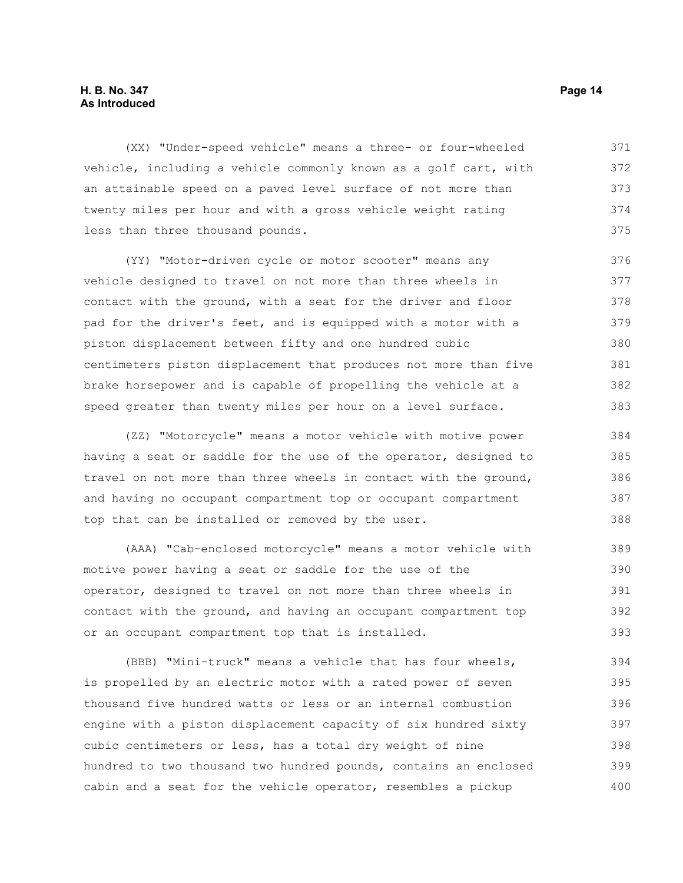### **H. B. No. 347 Page 14 As Introduced**

(XX) "Under-speed vehicle" means a three- or four-wheeled vehicle, including a vehicle commonly known as a golf cart, with an attainable speed on a paved level surface of not more than twenty miles per hour and with a gross vehicle weight rating less than three thousand pounds. 371 372 373 374 375

(YY) "Motor-driven cycle or motor scooter" means any vehicle designed to travel on not more than three wheels in contact with the ground, with a seat for the driver and floor pad for the driver's feet, and is equipped with a motor with a piston displacement between fifty and one hundred cubic centimeters piston displacement that produces not more than five brake horsepower and is capable of propelling the vehicle at a speed greater than twenty miles per hour on a level surface. 376 377 378 379 380 381 382 383

(ZZ) "Motorcycle" means a motor vehicle with motive power having a seat or saddle for the use of the operator, designed to travel on not more than three wheels in contact with the ground, and having no occupant compartment top or occupant compartment top that can be installed or removed by the user. 384 385 386 387 388

(AAA) "Cab-enclosed motorcycle" means a motor vehicle with motive power having a seat or saddle for the use of the operator, designed to travel on not more than three wheels in contact with the ground, and having an occupant compartment top or an occupant compartment top that is installed. 389 390 391 392 393

(BBB) "Mini-truck" means a vehicle that has four wheels, is propelled by an electric motor with a rated power of seven thousand five hundred watts or less or an internal combustion engine with a piston displacement capacity of six hundred sixty cubic centimeters or less, has a total dry weight of nine hundred to two thousand two hundred pounds, contains an enclosed cabin and a seat for the vehicle operator, resembles a pickup 394 395 396 397 398 399 400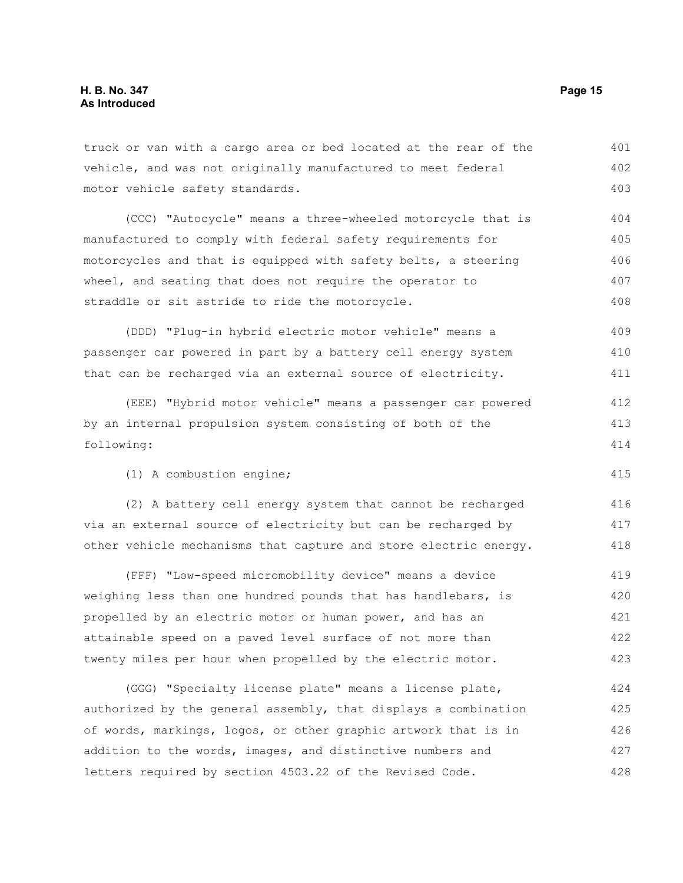vehicle, and was not originally manufactured to meet federal motor vehicle safety standards. (CCC) "Autocycle" means a three-wheeled motorcycle that is manufactured to comply with federal safety requirements for motorcycles and that is equipped with safety belts, a steering wheel, and seating that does not require the operator to straddle or sit astride to ride the motorcycle. (DDD) "Plug-in hybrid electric motor vehicle" means a passenger car powered in part by a battery cell energy system that can be recharged via an external source of electricity. (EEE) "Hybrid motor vehicle" means a passenger car powered by an internal propulsion system consisting of both of the following: (1) A combustion engine; (2) A battery cell energy system that cannot be recharged via an external source of electricity but can be recharged by other vehicle mechanisms that capture and store electric energy. 402 403 404 405 406 407 408 409 410 411 412 413 414 415 416 417 418

truck or van with a cargo area or bed located at the rear of the

(FFF) "Low-speed micromobility device" means a device weighing less than one hundred pounds that has handlebars, is propelled by an electric motor or human power, and has an attainable speed on a paved level surface of not more than twenty miles per hour when propelled by the electric motor. 419 420 421 422 423

(GGG) "Specialty license plate" means a license plate, authorized by the general assembly, that displays a combination of words, markings, logos, or other graphic artwork that is in addition to the words, images, and distinctive numbers and letters required by section 4503.22 of the Revised Code. 424 425 426 427 428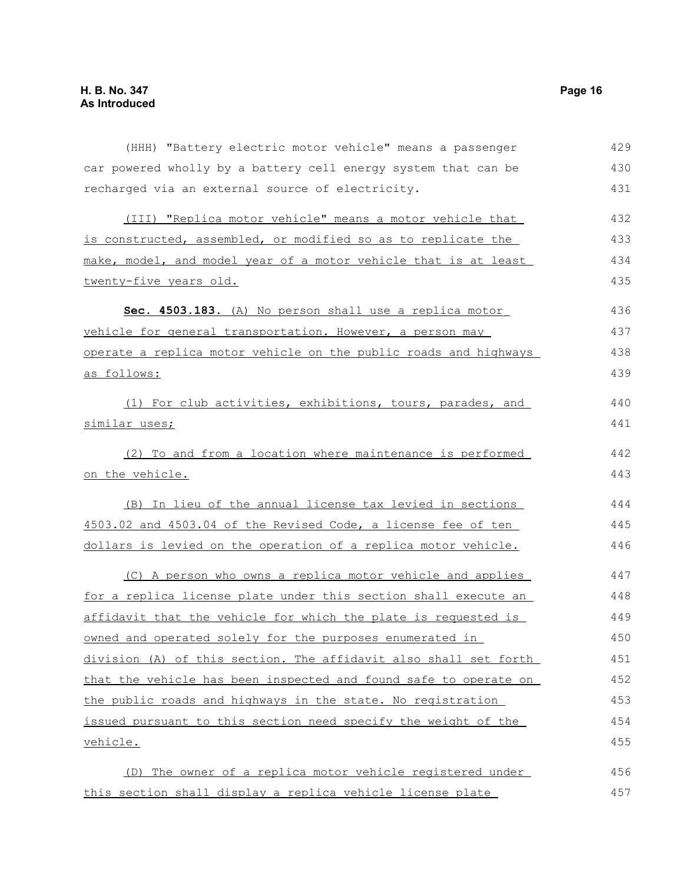| (HHH) "Battery electric motor vehicle" means a passenger         | 429 |
|------------------------------------------------------------------|-----|
| car powered wholly by a battery cell energy system that can be   | 430 |
| recharged via an external source of electricity.                 | 431 |
| (III) "Replica motor vehicle" means a motor vehicle that         | 432 |
| is constructed, assembled, or modified so as to replicate the    | 433 |
| make, model, and model year of a motor vehicle that is at least  | 434 |
| twenty-five years old.                                           | 435 |
| Sec. 4503.183. (A) No person shall use a replica motor           | 436 |
| vehicle for general transportation. However, a person may        | 437 |
| operate a replica motor vehicle on the public roads and highways | 438 |
| as follows:                                                      | 439 |
| (1) For club activities, exhibitions, tours, parades, and        | 440 |
| similar uses;                                                    | 441 |
| (2) To and from a location where maintenance is performed        | 442 |
| on the vehicle.                                                  | 443 |
| (B) In lieu of the annual license tax levied in sections         | 444 |
| 4503.02 and 4503.04 of the Revised Code, a license fee of ten    | 445 |
| dollars is levied on the operation of a replica motor vehicle.   | 446 |
| (C) A person who owns a replica motor vehicle and applies        | 447 |
| for a replica license plate under this section shall execute an  | 448 |
| affidavit that the vehicle for which the plate is requested is   | 449 |
| owned and operated solely for the purposes enumerated in         | 450 |
| division (A) of this section. The affidavit also shall set forth | 451 |
| that the vehicle has been inspected and found safe to operate on | 452 |
| the public roads and highways in the state. No registration      | 453 |
| issued pursuant to this section need specify the weight of the   | 454 |
| vehicle.                                                         | 455 |
| (D) The owner of a replica motor vehicle registered under        | 456 |
| this section shall display a replica vehicle license plate       | 457 |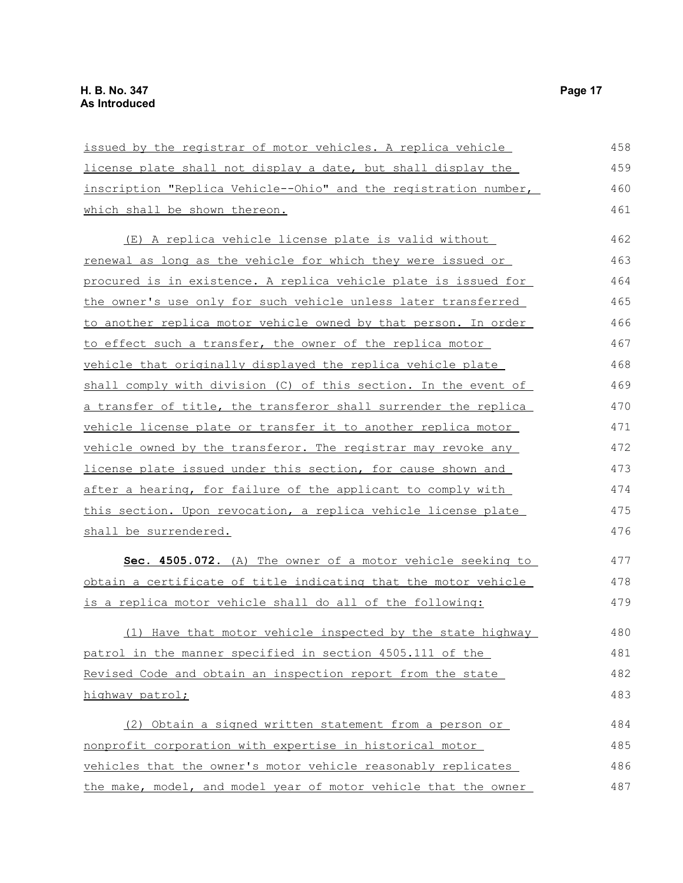| issued by the registrar of motor vehicles. A replica vehicle     | 458 |
|------------------------------------------------------------------|-----|
| license plate shall not display a date, but shall display the    | 459 |
| inscription "Replica Vehicle--Ohio" and the registration number, | 460 |
| which shall be shown thereon.                                    | 461 |
| (E) A replica vehicle license plate is valid without             | 462 |
| renewal as long as the vehicle for which they were issued or     | 463 |
| procured is in existence. A replica vehicle plate is issued for  | 464 |
| the owner's use only for such vehicle unless later transferred   | 465 |
| to another replica motor vehicle owned by that person. In order  | 466 |
| to effect such a transfer, the owner of the replica motor        | 467 |
| vehicle that originally displayed the replica vehicle plate      | 468 |
| shall comply with division (C) of this section. In the event of  | 469 |
| a transfer of title, the transferor shall surrender the replica  | 470 |
| vehicle license plate or transfer it to another replica motor    | 471 |
| vehicle owned by the transferor. The registrar may revoke any    | 472 |
| license plate issued under this section, for cause shown and     | 473 |
| after a hearing, for failure of the applicant to comply with     | 474 |
| this section. Upon revocation, a replica vehicle license plate   | 475 |
| shall be surrendered.                                            | 476 |
| Sec. 4505.072. (A) The owner of a motor vehicle seeking to       | 477 |
| obtain a certificate of title indicating that the motor vehicle  | 478 |
| is a replica motor vehicle shall do all of the following:        | 479 |
| (1) Have that motor vehicle inspected by the state highway       | 480 |
| patrol in the manner specified in section 4505.111 of the        | 481 |
| Revised Code and obtain an inspection report from the state      | 482 |
| highway patrol;                                                  | 483 |
| (2) Obtain a signed written statement from a person or           | 484 |
| nonprofit corporation with expertise in historical motor         | 485 |
| vehicles that the owner's motor vehicle reasonably replicates    | 486 |
| the make, model, and model year of motor vehicle that the owner  | 487 |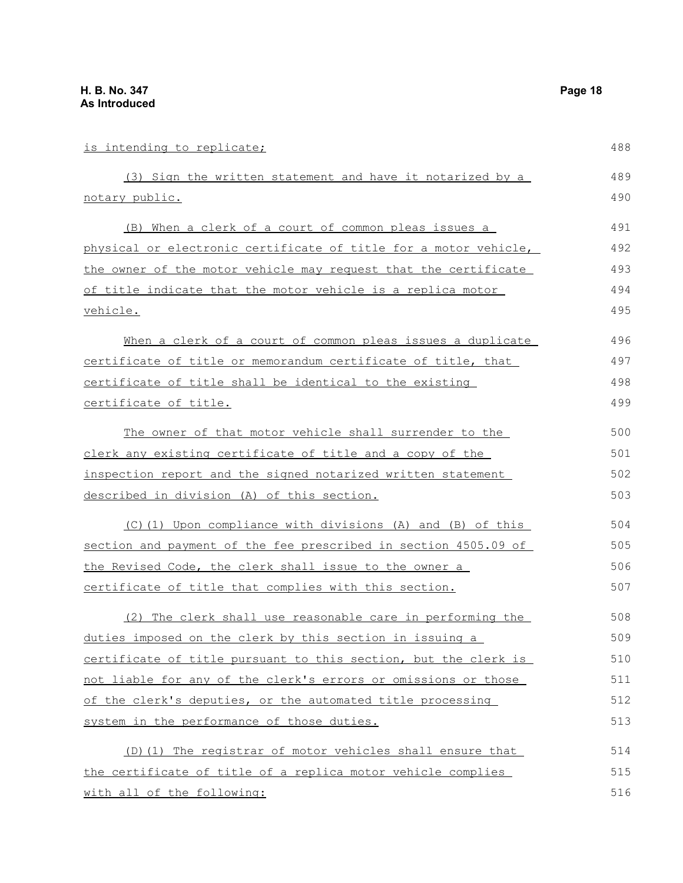| is intending to replicate;                                       | 488 |
|------------------------------------------------------------------|-----|
| (3) Sign the written statement and have it notarized by a        | 489 |
| notary public.                                                   | 490 |
| (B) When a clerk of a court of common pleas issues a             | 491 |
| physical or electronic certificate of title for a motor vehicle, | 492 |
| the owner of the motor vehicle may request that the certificate  | 493 |
| of title indicate that the motor vehicle is a replica motor      | 494 |
| vehicle.                                                         | 495 |
| When a clerk of a court of common pleas issues a duplicate       | 496 |
| certificate of title or memorandum certificate of title, that    | 497 |
| certificate of title shall be identical to the existing          | 498 |
| certificate of title.                                            | 499 |
| The owner of that motor vehicle shall surrender to the           | 500 |
| clerk any existing certificate of title and a copy of the        | 501 |
| inspection report and the signed notarized written statement     | 502 |
| described in division (A) of this section.                       | 503 |
| (C)(1) Upon compliance with divisions (A) and (B) of this        | 504 |
| section and payment of the fee prescribed in section 4505.09 of  | 505 |
| the Revised Code, the clerk shall issue to the owner a           | 506 |
| certificate of title that complies with this section.            | 507 |
| (2) The clerk shall use reasonable care in performing the        | 508 |
| duties imposed on the clerk by this section in issuing a         | 509 |
| certificate of title pursuant to this section, but the clerk is  | 510 |
| not liable for any of the clerk's errors or omissions or those   | 511 |
| of the clerk's deputies, or the automated title processing       | 512 |
| system in the performance of those duties.                       | 513 |

(D)(1) The registrar of motor vehicles shall ensure that the certificate of title of a replica motor vehicle complies with all of the following: 514 515 516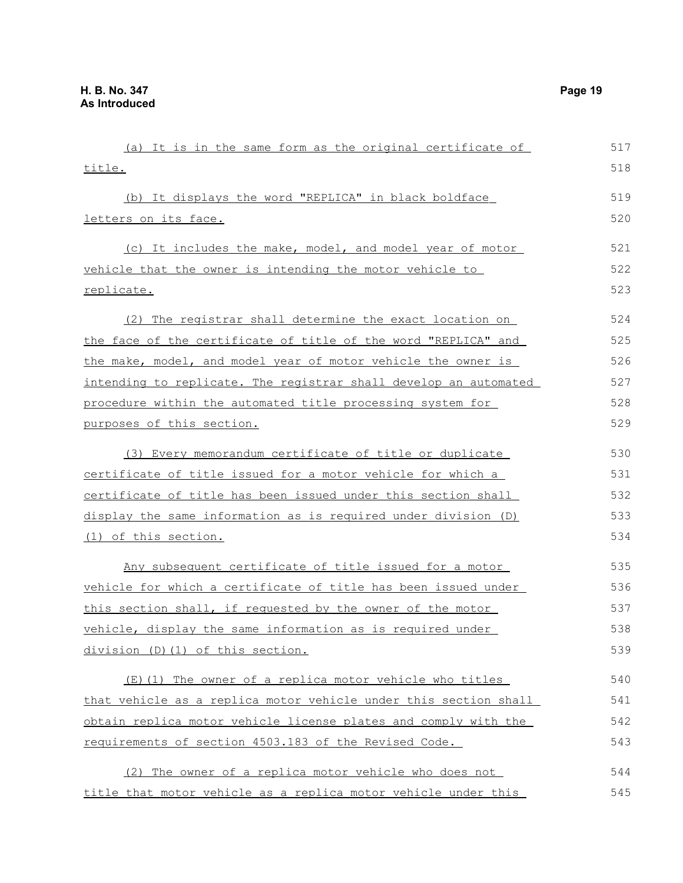| (a) It is in the same form as the original certificate of        | 517 |
|------------------------------------------------------------------|-----|
| title.                                                           | 518 |
| (b) It displays the word "REPLICA" in black boldface             | 519 |
| letters on its face.                                             | 520 |
| (c) It includes the make, model, and model year of motor         | 521 |
| vehicle that the owner is intending the motor vehicle to         | 522 |
| replicate.                                                       | 523 |
| (2) The registrar shall determine the exact location on          | 524 |
| the face of the certificate of title of the word "REPLICA" and   | 525 |
| the make, model, and model year of motor vehicle the owner is    | 526 |
| intending to replicate. The registrar shall develop an automated | 527 |
| procedure within the automated title processing system for       | 528 |
| purposes of this section.                                        | 529 |
| (3) Every memorandum certificate of title or duplicate           | 530 |
| certificate of title issued for a motor vehicle for which a      | 531 |
| certificate of title has been issued under this section shall    | 532 |
| display the same information as is required under division (D)   | 533 |
| (1) of this section.                                             | 534 |
| Any subsequent certificate of title issued for a motor           | 535 |
| vehicle for which a certificate of title has been issued under   | 536 |
| this section shall, if requested by the owner of the motor       | 537 |
| vehicle, display the same information as is required under       | 538 |
| division (D) (1) of this section.                                | 539 |
| (E) (1) The owner of a replica motor vehicle who titles          | 540 |
| that vehicle as a replica motor vehicle under this section shall | 541 |
| obtain replica motor vehicle license plates and comply with the  | 542 |
| requirements of section 4503.183 of the Revised Code.            | 543 |
| (2) The owner of a replica motor vehicle who does not            | 544 |
| title that motor vehicle as a replica motor vehicle under this   | 545 |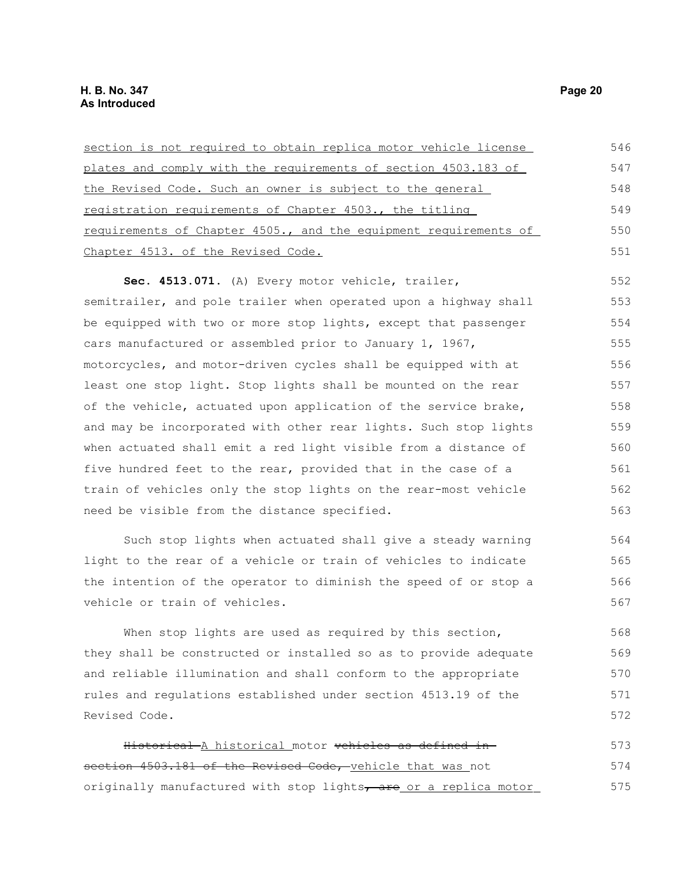| section is not required to obtain replica motor vehicle license  | 546 |
|------------------------------------------------------------------|-----|
| plates and comply with the requirements of section 4503.183 of   | 547 |
| the Revised Code. Such an owner is subject to the general        | 548 |
| registration requirements of Chapter 4503., the titling          | 549 |
| requirements of Chapter 4505., and the equipment requirements of | 550 |
| Chapter 4513. of the Revised Code.                               | 551 |
| Sec. 4513.071. (A) Every motor vehicle, trailer,                 | 552 |
| semitrailer, and pole trailer when operated upon a highway shall | 553 |
| be equipped with two or more stop lights, except that passenger  | 554 |
| cars manufactured or assembled prior to January 1, 1967,         | 555 |
| motorcycles, and motor-driven cycles shall be equipped with at   | 556 |
| least one stop light. Stop lights shall be mounted on the rear   | 557 |
| of the vehicle, actuated upon application of the service brake,  | 558 |
| and may be incorporated with other rear lights. Such stop lights | 559 |
| when actuated shall emit a red light visible from a distance of  | 560 |
| five hundred feet to the rear, provided that in the case of a    | 561 |
| train of vehicles only the stop lights on the rear-most vehicle  | 562 |
| need be visible from the distance specified.                     | 563 |
| Such stop lights when actuated shall give a steady warning       | 564 |
| light to the rear of a vehicle or train of vehicles to indicate  | 565 |
| the intention of the operator to diminish the speed of or stop a | 566 |
| vehicle or train of vehicles.                                    | 567 |
| When stop lights are used as required by this section,           | 568 |
| they shall be constructed or installed so as to provide adequate | 569 |
| and reliable illumination and shall conform to the appropriate   | 570 |
| rules and regulations established under section 4513.19 of the   | 571 |
| Revised Code.                                                    | 572 |
|                                                                  |     |

Historical-A historical motor vehicles as defined insection 4503.181 of the Revised Code, vehicle that was not originally manufactured with stop lights, are or a replica motor 573 574 575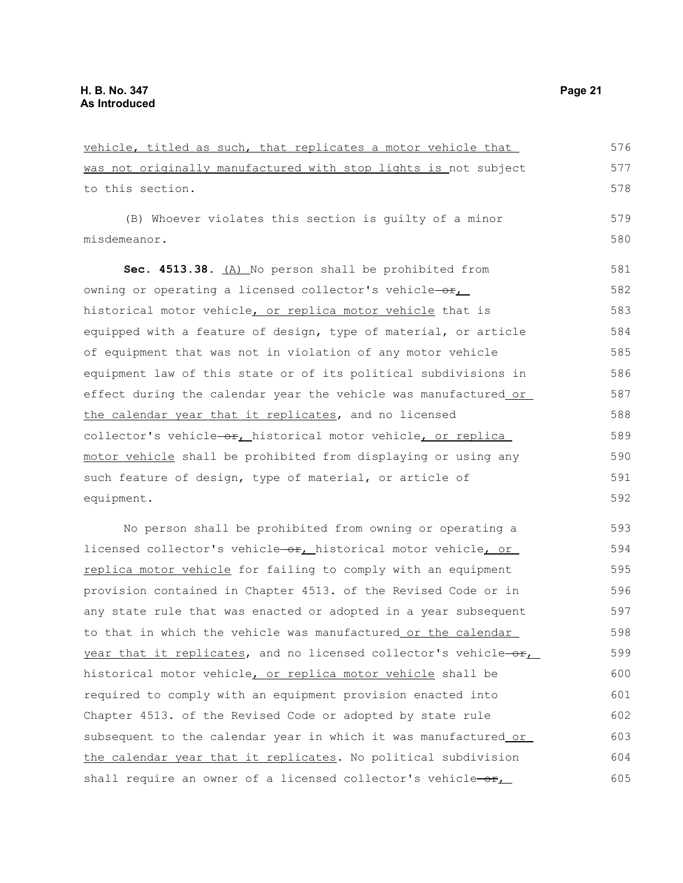vehicle, titled as such, that replicates a motor vehicle that was not originally manufactured with stop lights is not subject to this section. (B) Whoever violates this section is guilty of a minor misdemeanor. Sec. 4513.38. (A) No person shall be prohibited from owning or operating a licensed collector's vehicle-or, historical motor vehicle, or replica motor vehicle that is equipped with a feature of design, type of material, or article of equipment that was not in violation of any motor vehicle equipment law of this state or of its political subdivisions in effect during the calendar year the vehicle was manufactured or the calendar year that it replicates, and no licensed collector's vehicle-or, historical motor vehicle, or replica motor vehicle shall be prohibited from displaying or using any such feature of design, type of material, or article of equipment. No person shall be prohibited from owning or operating a licensed collector's vehicle-or, historical motor vehicle, or replica motor vehicle for failing to comply with an equipment provision contained in Chapter 4513. of the Revised Code or in any state rule that was enacted or adopted in a year subsequent to that in which the vehicle was manufactured or the calendar year that it replicates, and no licensed collector's vehicle-or, historical motor vehicle, or replica motor vehicle shall be required to comply with an equipment provision enacted into Chapter 4513. of the Revised Code or adopted by state rule subsequent to the calendar year in which it was manufactured or the calendar year that it replicates. No political subdivision 576 577 578 579 580 581 582 583 584 585 586 587 588 589 590 591 592 593 594 595 596 597 598 599 600 601 602 603 604

shall require an owner of a licensed collector's vehicle-or,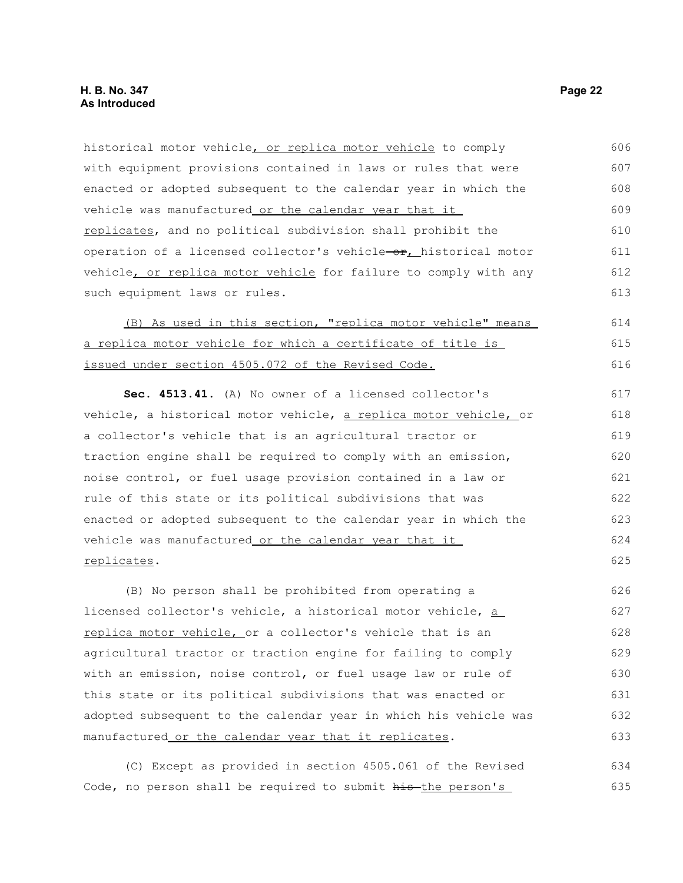historical motor vehicle, or replica motor vehicle to comply with equipment provisions contained in laws or rules that were enacted or adopted subsequent to the calendar year in which the vehicle was manufactured or the calendar year that it replicates, and no political subdivision shall prohibit the operation of a licensed collector's vehicle-or, historical motor vehicle, or replica motor vehicle for failure to comply with any such equipment laws or rules. 606 607 608 609 610 611 612 613

(B) As used in this section, "replica motor vehicle" means a replica motor vehicle for which a certificate of title is issued under section 4505.072 of the Revised Code. 614 615 616

**Sec. 4513.41.** (A) No owner of a licensed collector's vehicle, a historical motor vehicle, a replica motor vehicle, or a collector's vehicle that is an agricultural tractor or traction engine shall be required to comply with an emission, noise control, or fuel usage provision contained in a law or rule of this state or its political subdivisions that was enacted or adopted subsequent to the calendar year in which the vehicle was manufactured or the calendar year that it replicates. 617 618 619 620 621 622 623 624 625

(B) No person shall be prohibited from operating a licensed collector's vehicle, a historical motor vehicle, a replica motor vehicle, or a collector's vehicle that is an agricultural tractor or traction engine for failing to comply with an emission, noise control, or fuel usage law or rule of this state or its political subdivisions that was enacted or adopted subsequent to the calendar year in which his vehicle was manufactured or the calendar year that it replicates. 626 627 628 629 630 631 632 633

(C) Except as provided in section 4505.061 of the Revised Code, no person shall be required to submit his the person's 634 635